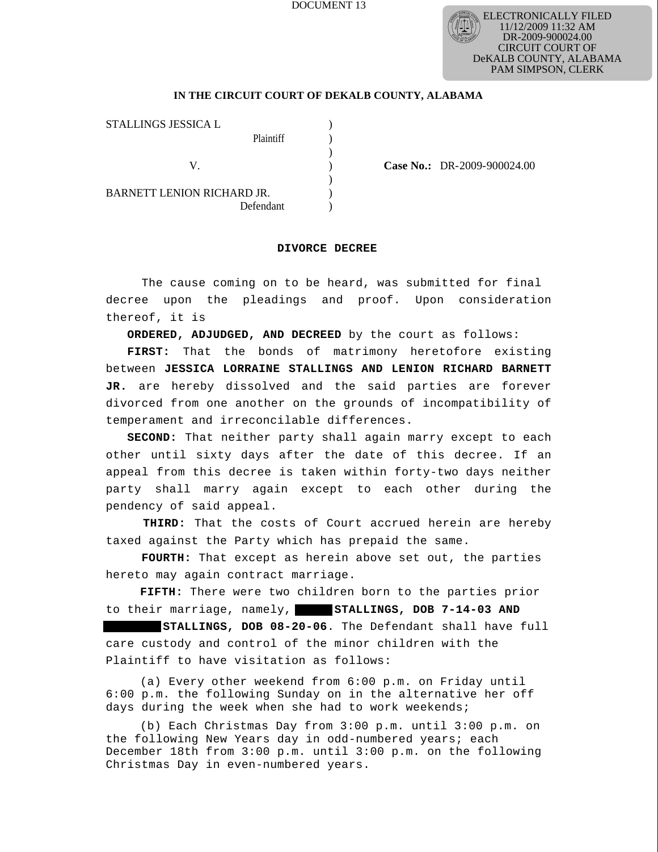# DOCUMENT 13



# **IN THE CIRCUIT COURT OF DEKALB COUNTY, ALABAMA**

)

)

STALLINGS JESSICA L Plaintiff ) V. ) **Case No.:** DR-2009-900024.00 BARNETT LENION RICHARD JR. Defendant )

### **DIVORCE DECREE**

 The cause coming on to be heard, was submitted for final decree upon the pleadings and proof. Upon consideration thereof, it is

 **ORDERED, ADJUDGED, AND DECREED** by the court as follows:

 **FIRST:** That the bonds of matrimony heretofore existing between **JESSICA LORRAINE STALLINGS AND LENION RICHARD BARNETT JR.** are hereby dissolved and the said parties are forever divorced from one another on the grounds of incompatibility of temperament and irreconcilable differences.

 **SECOND:** That neither party shall again marry except to each other until sixty days after the date of this decree. If an appeal from this decree is taken within forty-two days neither party shall marry again except to each other during the pendency of said appeal.

 **THIRD:** That the costs of Court accrued herein are hereby taxed against the Party which has prepaid the same.

 **FOURTH:** That except as herein above set out, the parties hereto may again contract marriage.

**FIFTH:** There were two children born to the parties prior to their marriage, namely, **STALLINGS, DOB 7-14-03 AND** 

**STALLINGS, DOB 08-20-06**. The Defendant shall have full care custody and control of the minor children with the Plaintiff to have visitation as follows:

(a) Every other weekend from 6:00 p.m. on Friday until 6:00 p.m. the following Sunday on in the alternative her off days during the week when she had to work weekends;

(b) Each Christmas Day from 3:00 p.m. until 3:00 p.m. on the following New Years day in odd-numbered years; each December 18th from 3:00 p.m. until 3:00 p.m. on the following Christmas Day in even-numbered years.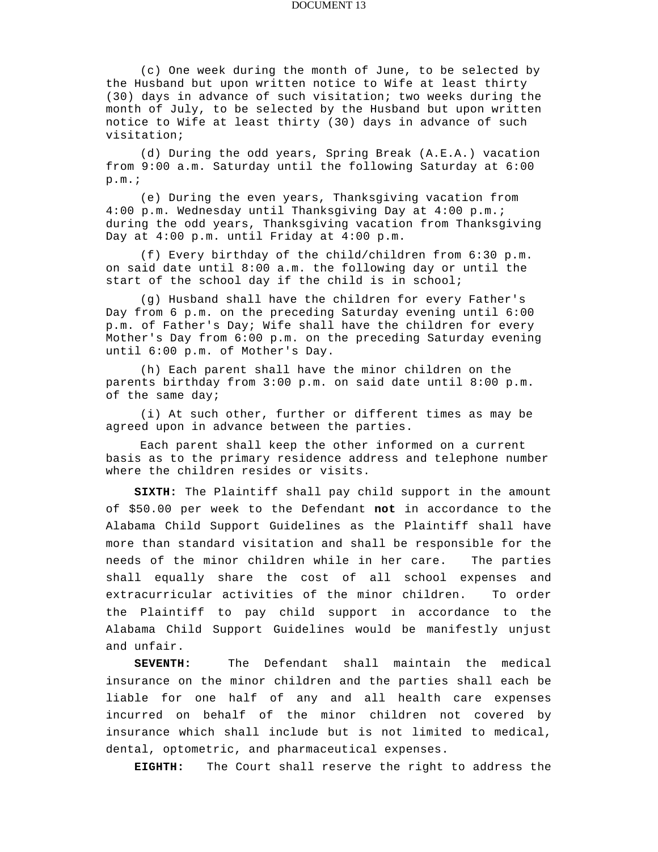### DOCUMENT 13

(c) One week during the month of June, to be selected by the Husband but upon written notice to Wife at least thirty (30) days in advance of such visitation; two weeks during the month of July, to be selected by the Husband but upon written notice to Wife at least thirty (30) days in advance of such visitation;

(d) During the odd years, Spring Break (A.E.A.) vacation from 9:00 a.m. Saturday until the following Saturday at 6:00  $p.m.$ ;

(e) During the even years, Thanksgiving vacation from 4:00 p.m. Wednesday until Thanksgiving Day at 4:00 p.m.; during the odd years, Thanksgiving vacation from Thanksgiving Day at 4:00 p.m. until Friday at 4:00 p.m.

(f) Every birthday of the child/children from 6:30 p.m. on said date until 8:00 a.m. the following day or until the start of the school day if the child is in school;

(g) Husband shall have the children for every Father's Day from 6 p.m. on the preceding Saturday evening until 6:00 p.m. of Father's Day; Wife shall have the children for every Mother's Day from 6:00 p.m. on the preceding Saturday evening until 6:00 p.m. of Mother's Day.

(h) Each parent shall have the minor children on the parents birthday from 3:00 p.m. on said date until 8:00 p.m. of the same day;

(i) At such other, further or different times as may be agreed upon in advance between the parties.

Each parent shall keep the other informed on a current basis as to the primary residence address and telephone number where the children resides or visits.

 **SIXTH:** The Plaintiff shall pay child support in the amount of \$50.00 per week to the Defendant **not** in accordance to the Alabama Child Support Guidelines as the Plaintiff shall have more than standard visitation and shall be responsible for the needs of the minor children while in her care. The parties shall equally share the cost of all school expenses and extracurricular activities of the minor children. To order the Plaintiff to pay child support in accordance to the Alabama Child Support Guidelines would be manifestly unjust and unfair.

 **SEVENTH:** The Defendant shall maintain the medical insurance on the minor children and the parties shall each be liable for one half of any and all health care expenses incurred on behalf of the minor children not covered by insurance which shall include but is not limited to medical, dental, optometric, and pharmaceutical expenses.

 **EIGHTH:** The Court shall reserve the right to address the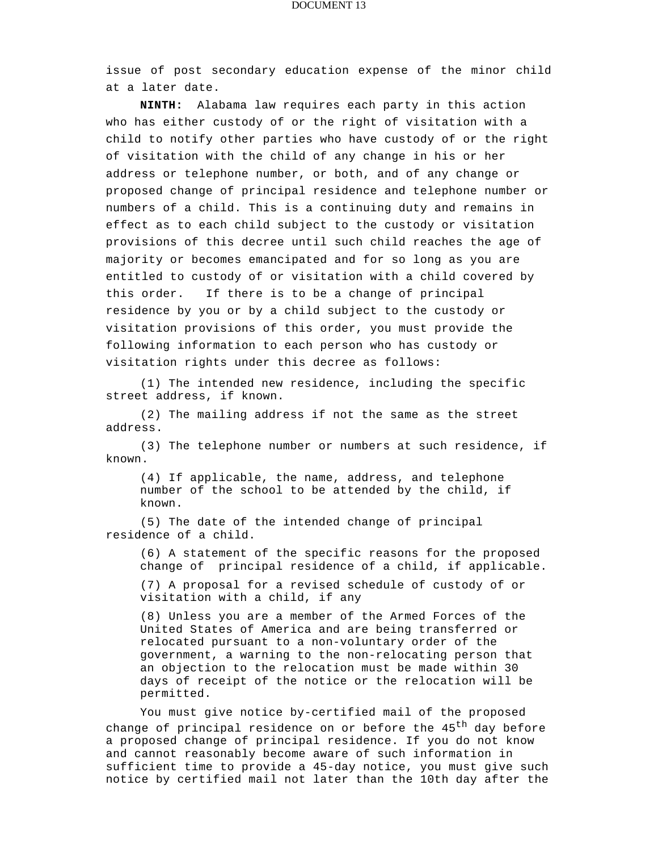### DOCUMENT 13

issue of post secondary education expense of the minor child at a later date.

**NINTH:** Alabama law requires each party in this action who has either custody of or the right of visitation with a child to notify other parties who have custody of or the right of visitation with the child of any change in his or her address or telephone number, or both, and of any change or proposed change of principal residence and telephone number or numbers of a child. This is a continuing duty and remains in effect as to each child subject to the custody or visitation provisions of this decree until such child reaches the age of majority or becomes emancipated and for so long as you are entitled to custody of or visitation with a child covered by this order. If there is to be a change of principal residence by you or by a child subject to the custody or visitation provisions of this order, you must provide the following information to each person who has custody or visitation rights under this decree as follows:

(1) The intended new residence, including the specific street address, if known.

(2) The mailing address if not the same as the street address.

(3) The telephone number or numbers at such residence, if known.

(4) If applicable, the name, address, and telephone number of the school to be attended by the child, if known.

(5) The date of the intended change of principal residence of a child.

(6) A statement of the specific reasons for the proposed change of principal residence of a child, if applicable.

(7) A proposal for a revised schedule of custody of or visitation with a child, if any

(8) Unless you are a member of the Armed Forces of the United States of America and are being transferred or relocated pursuant to a non-voluntary order of the government, a warning to the non-relocating person that an objection to the relocation must be made within 30 days of receipt of the notice or the relocation will be permitted.

You must give notice by-certified mail of the proposed change of principal residence on or before the 45<sup>th</sup> day before a proposed change of principal residence. If you do not know and cannot reasonably become aware of such information in sufficient time to provide a 45-day notice, you must give such notice by certified mail not later than the 10th day after the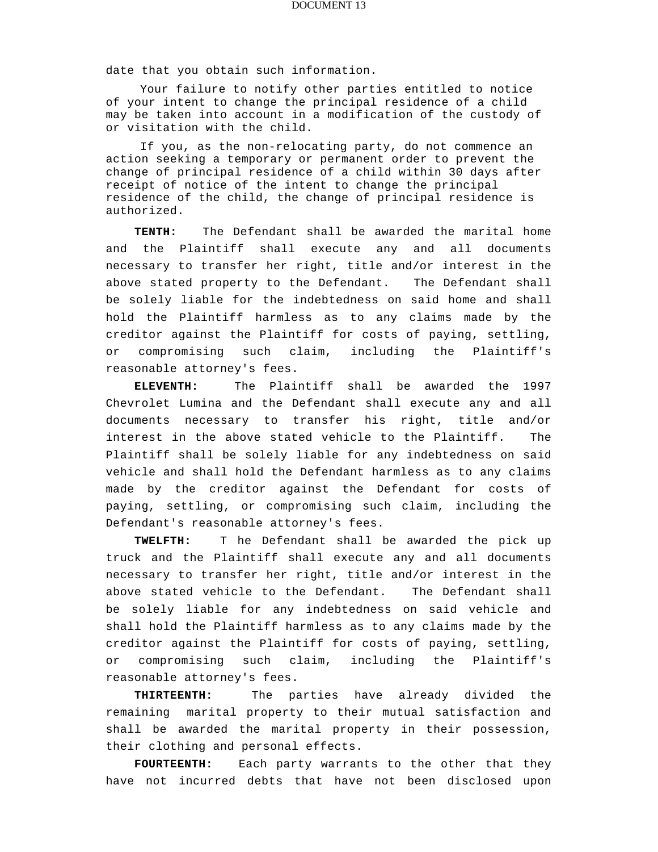date that you obtain such information.

Your failure to notify other parties entitled to notice of your intent to change the principal residence of a child may be taken into account in a modification of the custody of or visitation with the child.

If you, as the non-relocating party, do not commence an action seeking a temporary or permanent order to prevent the change of principal residence of a child within 30 days after receipt of notice of the intent to change the principal residence of the child, the change of principal residence is authorized.

 **TENTH:** The Defendant shall be awarded the marital home and the Plaintiff shall execute any and all documents necessary to transfer her right, title and/or interest in the above stated property to the Defendant. The Defendant shall be solely liable for the indebtedness on said home and shall hold the Plaintiff harmless as to any claims made by the creditor against the Plaintiff for costs of paying, settling, or compromising such claim, including the Plaintiff's reasonable attorney's fees.

 **ELEVENTH:** The Plaintiff shall be awarded the 1997 Chevrolet Lumina and the Defendant shall execute any and all documents necessary to transfer his right, title and/or interest in the above stated vehicle to the Plaintiff. The Plaintiff shall be solely liable for any indebtedness on said vehicle and shall hold the Defendant harmless as to any claims made by the creditor against the Defendant for costs of paying, settling, or compromising such claim, including the Defendant's reasonable attorney's fees.

 **TWELFTH:** T he Defendant shall be awarded the pick up truck and the Plaintiff shall execute any and all documents necessary to transfer her right, title and/or interest in the above stated vehicle to the Defendant. The Defendant shall be solely liable for any indebtedness on said vehicle and shall hold the Plaintiff harmless as to any claims made by the creditor against the Plaintiff for costs of paying, settling, or compromising such claim, including the Plaintiff's reasonable attorney's fees.

 **THIRTEENTH:** The parties have already divided the remaining marital property to their mutual satisfaction and shall be awarded the marital property in their possession, their clothing and personal effects.

FOURTEENTH: Each party warrants to the other that they have not incurred debts that have not been disclosed upon